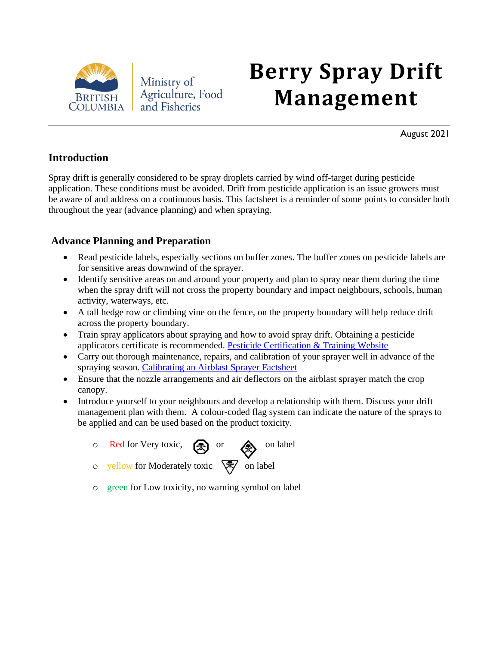

Ministry of Agriculture, Food and Fisheries

# **Berry Spray Drift Management**

August 2021

#### **Introduction**

Spray drift is generally considered to be spray droplets carried by wind off-target during pesticide application. These conditions must be avoided. Drift from pesticide application is an issue growers must be aware of and address on a continuous basis. This factsheet is a reminder of some points to consider both throughout the year (advance planning) and when spraying.

#### **Advance Planning and Preparation**

- Read pesticide labels, especially sections on buffer zones. The buffer zones on pesticide labels are for sensitive areas downwind of the sprayer.
- Identify sensitive areas on and around your property and plan to spray near them during the time when the spray drift will not cross the property boundary and impact neighbours, schools, human activity, waterways, etc.
- A tall hedge row or climbing vine on the fence, on the property boundary will help reduce drift across the property boundary.
- Train spray applicators about spraying and how to avoid spray drift. Obtaining a pesticide applicators certificate is recommended. [Pesticide Certification & Training Website](https://www2.gov.bc.ca/gov/content/environment/pesticides-pest-management/certification-training)
- Carry out thorough maintenance, repairs, and calibration of your sprayer well in advance of the spraying season. [Calibrating an Airblast Sprayer Factsheet](https://www2.gov.bc.ca/assets/gov/farming-natural-resources-and-industry/agriculture-and-seafood/animal-and-crops/plant-health/bc_factsheet_-_airblast_sprayer_calibration.pdf)
- Ensure that the nozzle arrangements and air deflectors on the airblast sprayer match the crop canopy.
- Introduce yourself to your neighbours and develop a relationship with them. Discuss your drift management plan with them. A colour-coded flag system can indicate the nature of the sprays to be applied and can be used based on the product toxicity.
	- $\circ$  Red for Very toxic,  $\circled{2}$  or  $\circled{2}$  on label
		-
	- o yellow for Moderately toxic  $\sqrt{\frac{2}{N}}$  on label
	- o green for Low toxicity, no warning symbol on label